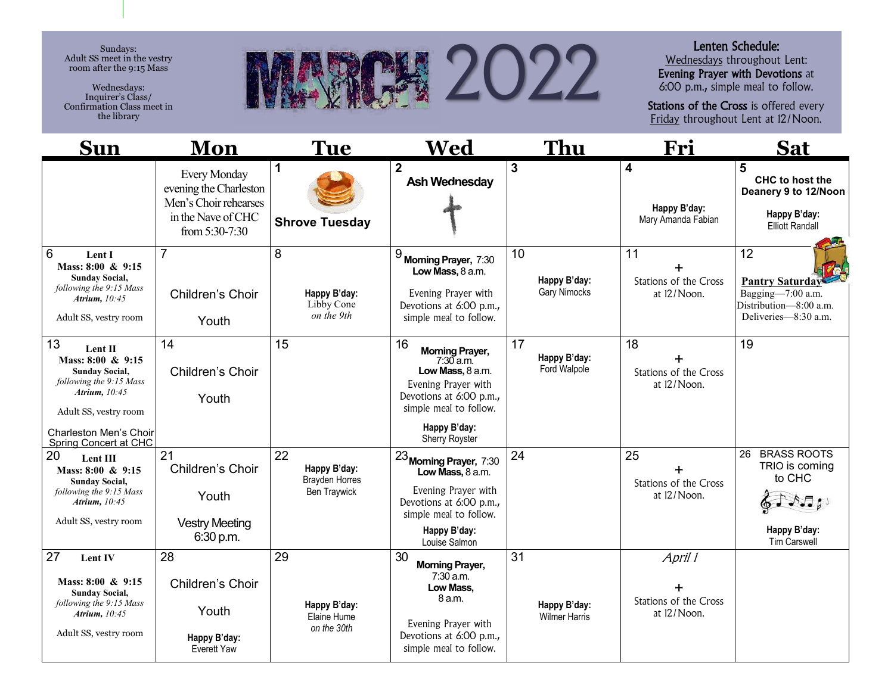Sundays: Adult SS meet in the vestry room after the 9:15 Mass

Wednesdays: Inquirer's Class/ Confirmation Class meet in the library



## Lenten Schedule:

Wednesdays throughout Lent: Evening Prayer with Devotions at 6:00 p.m., simple meal to follow.

Stations of the Cross is offered every Friday throughout Lent at 12/Noon.

| <b>Sun</b>                                                                                                                                                                            | Mon                                                                                                            | <b>Tue</b>                                                         | Wed                                                                                                                                                                           | Thu                                        | Fri                                                           | <b>Sat</b>                                                                                          |
|---------------------------------------------------------------------------------------------------------------------------------------------------------------------------------------|----------------------------------------------------------------------------------------------------------------|--------------------------------------------------------------------|-------------------------------------------------------------------------------------------------------------------------------------------------------------------------------|--------------------------------------------|---------------------------------------------------------------|-----------------------------------------------------------------------------------------------------|
|                                                                                                                                                                                       | <b>Every Monday</b><br>evening the Charleston<br>Men's Choir rehearses<br>in the Nave of CHC<br>from 5:30-7:30 | $\mathbf 1$<br><b>Shrove Tuesday</b>                               | $\overline{2}$<br><b>Ash Wednesday</b>                                                                                                                                        | $\overline{3}$                             | $\overline{\mathbf{4}}$<br>Happy B'day:<br>Mary Amanda Fabian | 5<br>CHC to host the<br>Deanery 9 to 12/Noon<br>Happy B'day:<br><b>Elliott Randall</b>              |
| 6<br>Lent I<br>Mass: 8:00 & 9:15<br><b>Sunday Social,</b><br>following the 9:15 Mass<br>Atrium, 10:45<br>Adult SS, vestry room                                                        | $\overline{7}$<br>Children's Choir<br>Youth                                                                    | 8<br>Happy B'day:<br>Libby Cone<br>on the 9th                      | $9$ Morning Prayer, 7:30<br>Low Mass, 8 a.m.<br>Evening Prayer with<br>Devotions at 6:00 p.m.,<br>simple meal to follow.                                                      | 10<br>Happy B'day:<br>Gary Nimocks         | 11<br>Stations of the Cross<br>at 12/Noon.                    | 12<br><b>Pantry Saturday</b><br>Bagging-7:00 a.m.<br>Distribution-8:00 a.m.<br>Deliveries-8:30 a.m. |
| 13<br>Lent II<br>Mass: 8:00 & 9:15<br><b>Sunday Social,</b><br>following the 9:15 Mass<br>Atrium, $10:45$<br>Adult SS, vestry room<br>Charleston Men's Choir<br>Spring Concert at CHC | 14<br>Children's Choir<br>Youth                                                                                | 15                                                                 | 16<br><b>Morning Prayer,</b><br>$7:30$ a.m.<br>Low Mass, 8 a.m.<br>Evening Prayer with<br>Devotions at 6:00 p.m.,<br>simple meal to follow.<br>Happy B'day:<br>Sherry Royster | 17<br>Happy B'day:<br>Ford Walpole         | 18<br>Stations of the Cross<br>at 12/Noon.                    | 19                                                                                                  |
| 20<br>Lent III<br>Mass: 8:00 & 9:15<br><b>Sunday Social,</b><br>following the 9:15 Mass<br>Atrium, 10:45<br>Adult SS, vestry room                                                     | 21<br>Children's Choir<br>Youth<br><b>Vestry Meeting</b><br>6:30 p.m.                                          | 22<br>Happy B'day:<br><b>Brayden Horres</b><br><b>Ben Traywick</b> | $23$ Morning Prayer, $7:30$<br>Low Mass, 8 a.m.<br>Evening Prayer with<br>Devotions at 6:00 p.m.,<br>simple meal to follow.<br>Happy B'day:<br>Louise Salmon                  | 24                                         | 25<br>Stations of the Cross<br>at 12/Noon.                    | <b>BRASS ROOTS</b><br>26<br>TRIO is coming<br>to CHC<br>Happy B'day:<br><b>Tim Carswell</b>         |
| 27<br>Lent IV<br>Mass: 8:00 & 9:15<br><b>Sunday Social,</b><br>following the 9:15 Mass<br>Atrium, 10:45<br>Adult SS, vestry room                                                      | 28<br>Children's Choir<br>Youth<br>Happy B'day:<br>Everett Yaw                                                 | 29<br>Happy B'day:<br>Elaine Hume<br>on the 30th                   | 30<br><b>Morning Prayer,</b><br>$7:30$ a.m.<br>Low Mass,<br>8 a.m.<br>Evening Prayer with<br>Devotions at 6:00 p.m.,<br>simple meal to follow.                                | 31<br>Happy B'day:<br><b>Wilmer Harris</b> | April 1<br>Stations of the Cross<br>at 12/Noon.               |                                                                                                     |